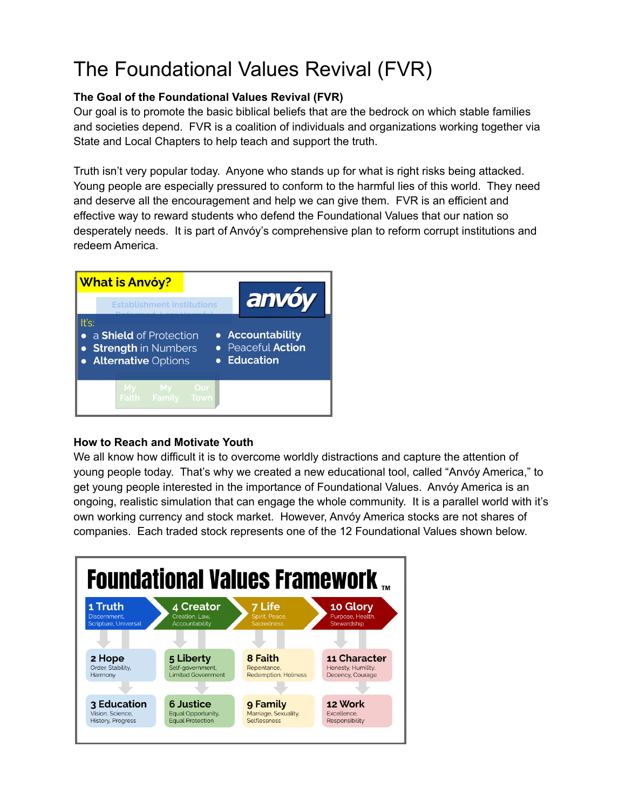# The Foundational Values Revival (FVR)

### **The Goal of the Foundational Values Revival (FVR)**

Our goal is to promote the basic biblical beliefs that are the bedrock on which stable families and societies depend. FVR is a coalition of individuals and organizations working together via State and Local Chapters to help teach and support the truth.

Truth isn't very popular today. Anyone who stands up for what is right risks being attacked. Young people are especially pressured to conform to the harmful lies of this world. They need and deserve all the encouragement and help we can give them. FVR is an efficient and effective way to reward students who defend the Foundational Values that our nation so desperately needs. It is part of Anvóy's comprehensive plan to reform corrupt institutions and redeem America.



#### **How to Reach and Motivate Youth**

We all know how difficult it is to overcome worldly distractions and capture the attention of young people today. That's why we created a new educational tool, called "Anvóy America," to get young people interested in the importance of Foundational Values. Anvóy America is an ongoing, realistic simulation that can engage the whole community. It is a parallel world with it's own working currency and stock market. However, Anvóy America stocks are not shares of companies. Each traded stock represents one of the 12 Foundational Values shown below.

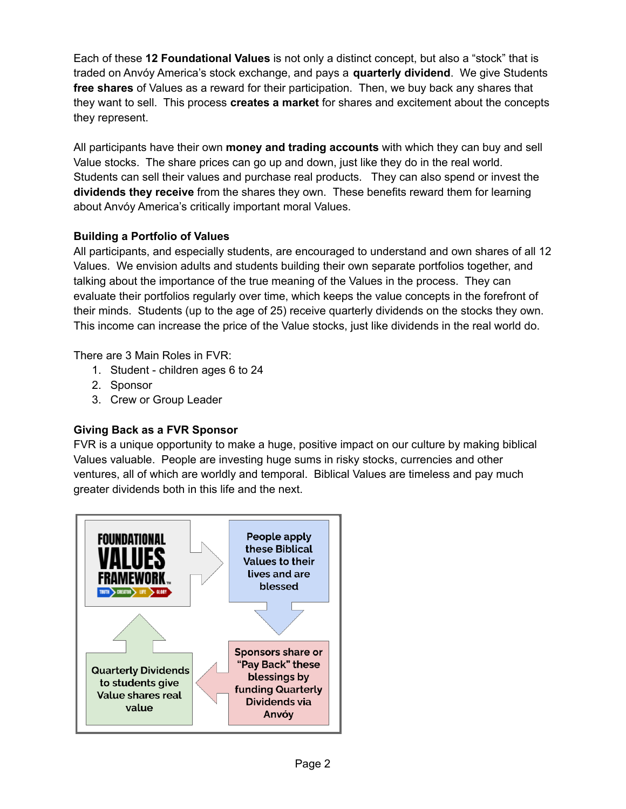Each of these **12 Foundational Values** is not only a distinct concept, but also a "stock" that is traded on Anvóy America's stock exchange, and pays a **quarterly dividend**. We give Students **free shares** of Values as a reward for their participation. Then, we buy back any shares that they want to sell. This process **creates a market** for shares and excitement about the concepts they represent.

All participants have their own **money and trading accounts** with which they can buy and sell Value stocks. The share prices can go up and down, just like they do in the real world. Students can sell their values and purchase real products. They can also spend or invest the **dividends they receive** from the shares they own. These benefits reward them for learning about Anvóy America's critically important moral Values.

#### **Building a Portfolio of Values**

All participants, and especially students, are encouraged to understand and own shares of all 12 Values. We envision adults and students building their own separate portfolios together, and talking about the importance of the true meaning of the Values in the process. They can evaluate their portfolios regularly over time, which keeps the value concepts in the forefront of their minds. Students (up to the age of 25) receive quarterly dividends on the stocks they own. This income can increase the price of the Value stocks, just like dividends in the real world do.

There are 3 Main Roles in FVR:

- 1. Student children ages 6 to 24
- 2. Sponsor
- 3. Crew or Group Leader

# **Giving Back as a FVR Sponsor**

FVR is a unique opportunity to make a huge, positive impact on our culture by making biblical Values valuable. People are investing huge sums in risky stocks, currencies and other ventures, all of which are worldly and temporal. Biblical Values are timeless and pay much greater dividends both in this life and the next.

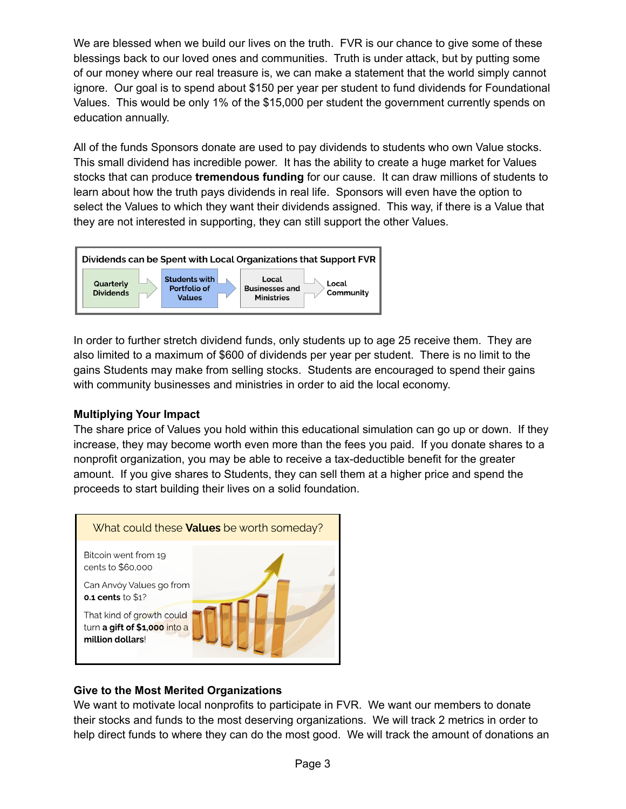We are blessed when we build our lives on the truth. FVR is our chance to give some of these blessings back to our loved ones and communities. Truth is under attack, but by putting some of our money where our real treasure is, we can make a statement that the world simply cannot ignore. Our goal is to spend about \$150 per year per student to fund dividends for Foundational Values. This would be only 1% of the \$15,000 per student the government currently spends on education annually.

All of the funds Sponsors donate are used to pay dividends to students who own Value stocks. This small dividend has incredible power. It has the ability to create a huge market for Values stocks that can produce **tremendous funding** for our cause. It can draw millions of students to learn about how the truth pays dividends in real life. Sponsors will even have the option to select the Values to which they want their dividends assigned. This way, if there is a Value that they are not interested in supporting, they can still support the other Values.



In order to further stretch dividend funds, only students up to age 25 receive them. They are also limited to a maximum of \$600 of dividends per year per student. There is no limit to the gains Students may make from selling stocks. Students are encouraged to spend their gains with community businesses and ministries in order to aid the local economy.

#### **Multiplying Your Impact**

The share price of Values you hold within this educational simulation can go up or down. If they increase, they may become worth even more than the fees you paid. If you donate shares to a nonprofit organization, you may be able to receive a tax-deductible benefit for the greater amount. If you give shares to Students, they can sell them at a higher price and spend the proceeds to start building their lives on a solid foundation.



# **Give to the Most Merited Organizations**

We want to motivate local nonprofits to participate in FVR. We want our members to donate their stocks and funds to the most deserving organizations. We will track 2 metrics in order to help direct funds to where they can do the most good. We will track the amount of donations an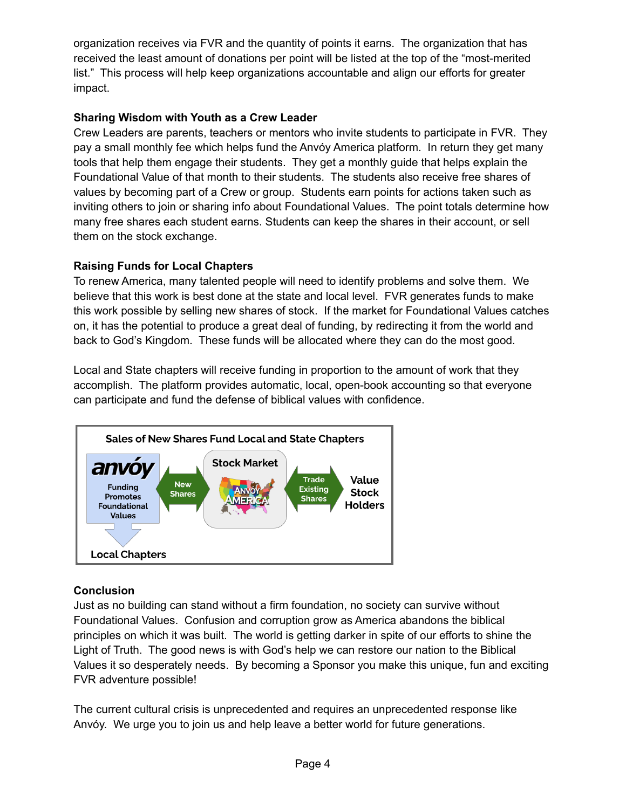organization receives via FVR and the quantity of points it earns. The organization that has received the least amount of donations per point will be listed at the top of the "most-merited list." This process will help keep organizations accountable and align our efforts for greater impact.

#### **Sharing Wisdom with Youth as a Crew Leader**

Crew Leaders are parents, teachers or mentors who invite students to participate in FVR. They pay a small monthly fee which helps fund the Anvóy America platform. In return they get many tools that help them engage their students. They get a monthly guide that helps explain the Foundational Value of that month to their students. The students also receive free shares of values by becoming part of a Crew or group. Students earn points for actions taken such as inviting others to join or sharing info about Foundational Values. The point totals determine how many free shares each student earns. Students can keep the shares in their account, or sell them on the stock exchange.

# **Raising Funds for Local Chapters**

To renew America, many talented people will need to identify problems and solve them. We believe that this work is best done at the state and local level. FVR generates funds to make this work possible by selling new shares of stock. If the market for Foundational Values catches on, it has the potential to produce a great deal of funding, by redirecting it from the world and back to God's Kingdom. These funds will be allocated where they can do the most good.

Local and State chapters will receive funding in proportion to the amount of work that they accomplish. The platform provides automatic, local, open-book accounting so that everyone can participate and fund the defense of biblical values with confidence.



# **Conclusion**

Just as no building can stand without a firm foundation, no society can survive without Foundational Values. Confusion and corruption grow as America abandons the biblical principles on which it was built. The world is getting darker in spite of our efforts to shine the Light of Truth. The good news is with God's help we can restore our nation to the Biblical Values it so desperately needs. By becoming a Sponsor you make this unique, fun and exciting FVR adventure possible!

The current cultural crisis is unprecedented and requires an unprecedented response like Anvóy. We urge you to join us and help leave a better world for future generations.